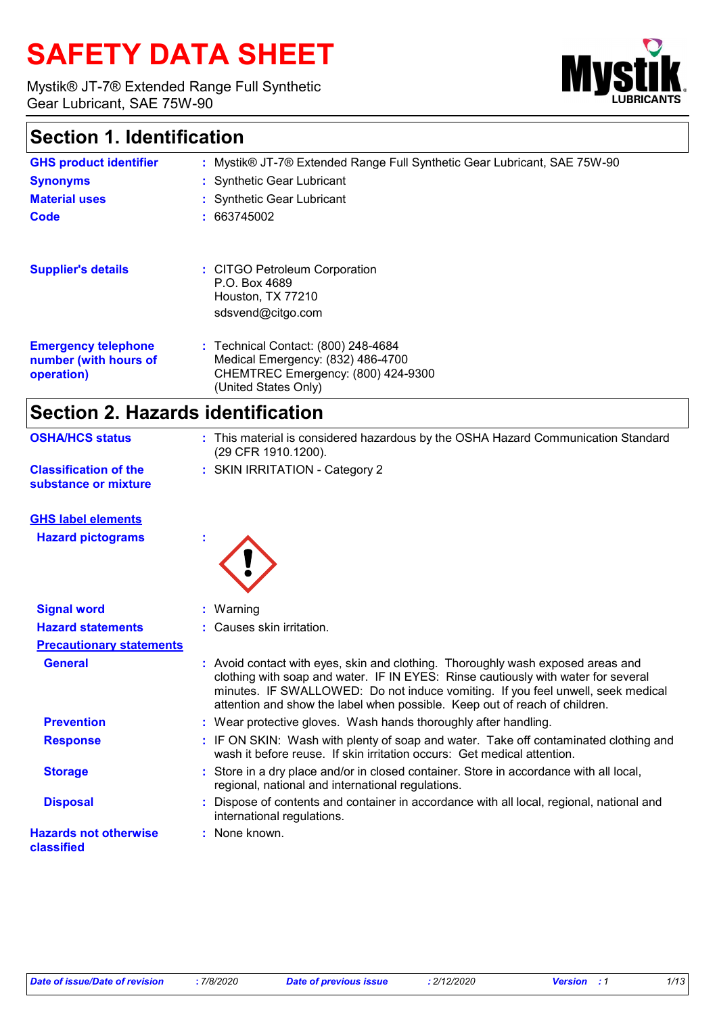# **SAFETY DATA SHEET**

Mystik® JT-7® Extended Range Full Synthetic Gear Lubricant, SAE 75W-90



### **Section 1. Identification**

| <b>GHS product identifier</b>                                     | : Mystik® JT-7® Extended Range Full Synthetic Gear Lubricant, SAE 75W-90                                                                   |
|-------------------------------------------------------------------|--------------------------------------------------------------------------------------------------------------------------------------------|
| <b>Synonyms</b>                                                   | : Synthetic Gear Lubricant                                                                                                                 |
| <b>Material uses</b>                                              | : Synthetic Gear Lubricant                                                                                                                 |
| Code                                                              | : 663745002                                                                                                                                |
| <b>Supplier's details</b>                                         | : CITGO Petroleum Corporation<br>P.O. Box 4689                                                                                             |
|                                                                   | Houston, TX 77210<br>sdsvend@citgo.com                                                                                                     |
| <b>Emergency telephone</b><br>number (with hours of<br>operation) | $:$ Technical Contact: $(800)$ 248-4684<br>Medical Emergency: (832) 486-4700<br>CHEMTREC Emergency: (800) 424-9300<br>(United States Only) |

### **Section 2. Hazards identification**

| <b>OSHA/HCS status</b>                               | : This material is considered hazardous by the OSHA Hazard Communication Standard<br>(29 CFR 1910.1200). |
|------------------------------------------------------|----------------------------------------------------------------------------------------------------------|
| <b>Classification of the</b><br>substance or mixture | : SKIN IRRITATION - Category 2                                                                           |

#### **GHS label elements**

**Hazard pictograms :**



| <b>Signal word</b>                         | $:$ Warning                                                                                                                                                                                                                                                                                                                           |
|--------------------------------------------|---------------------------------------------------------------------------------------------------------------------------------------------------------------------------------------------------------------------------------------------------------------------------------------------------------------------------------------|
| <b>Hazard statements</b>                   | : Causes skin irritation.                                                                                                                                                                                                                                                                                                             |
| <b>Precautionary statements</b>            |                                                                                                                                                                                                                                                                                                                                       |
| <b>General</b>                             | : Avoid contact with eyes, skin and clothing. Thoroughly wash exposed areas and<br>clothing with soap and water. IF IN EYES: Rinse cautiously with water for several<br>minutes. IF SWALLOWED: Do not induce vomiting. If you feel unwell, seek medical<br>attention and show the label when possible. Keep out of reach of children. |
| <b>Prevention</b>                          | : Wear protective gloves. Wash hands thoroughly after handling.                                                                                                                                                                                                                                                                       |
| <b>Response</b>                            | : IF ON SKIN: Wash with plenty of soap and water. Take off contaminated clothing and<br>wash it before reuse. If skin irritation occurs: Get medical attention.                                                                                                                                                                       |
| <b>Storage</b>                             | : Store in a dry place and/or in closed container. Store in accordance with all local,<br>regional, national and international regulations.                                                                                                                                                                                           |
| <b>Disposal</b>                            | : Dispose of contents and container in accordance with all local, regional, national and<br>international regulations.                                                                                                                                                                                                                |
| <b>Hazards not otherwise</b><br>classified | : None known.                                                                                                                                                                                                                                                                                                                         |
|                                            |                                                                                                                                                                                                                                                                                                                                       |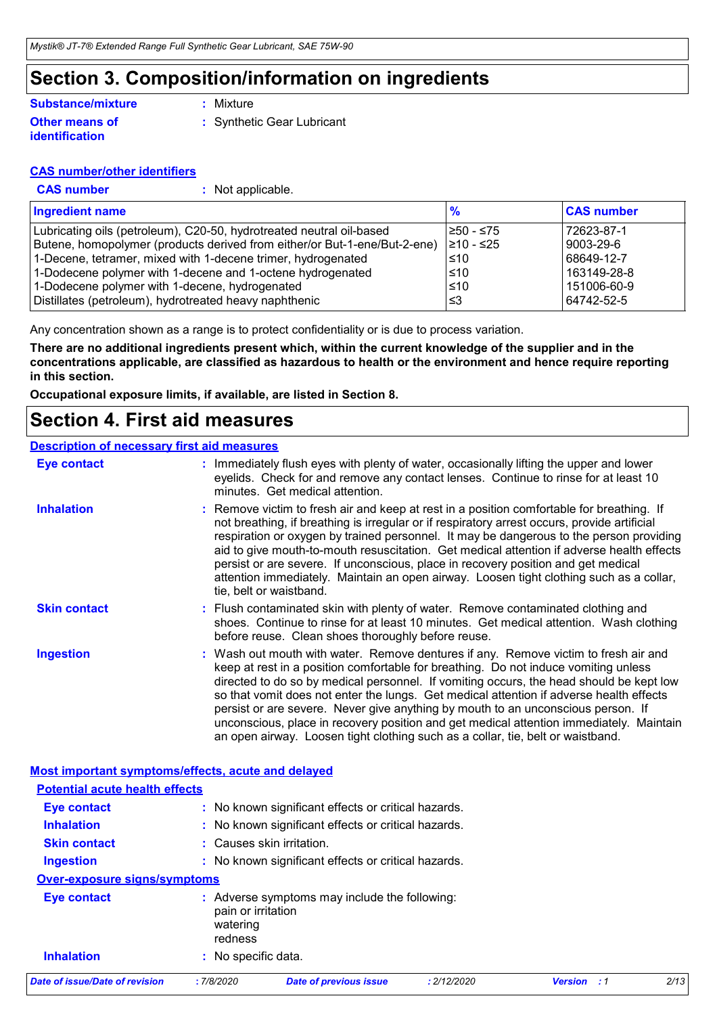### **Section 3. Composition/information on ingredients**

#### **Other means of identification Substance/mixture**

**:** Mixture

**:** Synthetic Gear Lubricant

#### **CAS number/other identifiers**

- 
- **CAS number :** Not applicable.

| <b>Ingredient name</b>                                                    | %          | <b>CAS number</b> |
|---------------------------------------------------------------------------|------------|-------------------|
| Lubricating oils (petroleum), C20-50, hydrotreated neutral oil-based      | 1≥50 - ≤75 | 72623-87-1        |
| Butene, homopolymer (products derived from either/or But-1-ene/But-2-ene) | 210 - ≤25  | 9003-29-6         |
| 1-Decene, tetramer, mixed with 1-decene trimer, hydrogenated              | 1≤10       | 68649-12-7        |
| 1-Dodecene polymer with 1-decene and 1-octene hydrogenated                | $\leq 10$  | 163149-28-8       |
| 1-Dodecene polymer with 1-decene, hydrogenated                            | $\leq 10$  | 151006-60-9       |
| Distillates (petroleum), hydrotreated heavy naphthenic                    | l≤3        | 64742-52-5        |

Any concentration shown as a range is to protect confidentiality or is due to process variation.

**There are no additional ingredients present which, within the current knowledge of the supplier and in the concentrations applicable, are classified as hazardous to health or the environment and hence require reporting in this section.**

**Occupational exposure limits, if available, are listed in Section 8.**

### **Section 4. First aid measures**

#### **Description of necessary first aid measures**

| <b>Inhalation</b><br>: Remove victim to fresh air and keep at rest in a position comfortable for breathing. If<br>not breathing, if breathing is irregular or if respiratory arrest occurs, provide artificial<br>respiration or oxygen by trained personnel. It may be dangerous to the person providing<br>aid to give mouth-to-mouth resuscitation. Get medical attention if adverse health effects<br>persist or are severe. If unconscious, place in recovery position and get medical<br>attention immediately. Maintain an open airway. Loosen tight clothing such as a collar,<br>tie, belt or waistband.<br><b>Skin contact</b><br>: Flush contaminated skin with plenty of water. Remove contaminated clothing and<br>shoes. Continue to rinse for at least 10 minutes. Get medical attention. Wash clothing<br>before reuse. Clean shoes thoroughly before reuse.<br><b>Ingestion</b><br>: Wash out mouth with water. Remove dentures if any. Remove victim to fresh air and<br>keep at rest in a position comfortable for breathing. Do not induce vomiting unless<br>directed to do so by medical personnel. If vomiting occurs, the head should be kept low<br>so that vomit does not enter the lungs. Get medical attention if adverse health effects<br>persist or are severe. Never give anything by mouth to an unconscious person. If<br>unconscious, place in recovery position and get medical attention immediately. Maintain<br>an open airway. Loosen tight clothing such as a collar, tie, belt or waistband.<br>Most important symptoms/effects, acute and delayed<br><b>Potential acute health effects</b><br>: No known significant effects or critical hazards.<br><b>Eye contact</b><br><b>Inhalation</b><br>: No known significant effects or critical hazards.<br>: Causes skin irritation.<br><b>Skin contact</b><br><b>Ingestion</b><br>: No known significant effects or critical hazards.<br>Over-exposure signs/symptoms<br><b>Eye contact</b><br>: Adverse symptoms may include the following:<br>pain or irritation<br>watering<br>redness<br><b>Inhalation</b><br>: No specific data.<br><b>Date of issue/Date of revision</b><br>: 7/8/2020<br>: 2/12/2020<br>2/13<br><b>Date of previous issue</b><br><b>Version</b> : 1 | <b>Eye contact</b> | : Immediately flush eyes with plenty of water, occasionally lifting the upper and lower<br>eyelids. Check for and remove any contact lenses. Continue to rinse for at least 10<br>minutes. Get medical attention. |
|--------------------------------------------------------------------------------------------------------------------------------------------------------------------------------------------------------------------------------------------------------------------------------------------------------------------------------------------------------------------------------------------------------------------------------------------------------------------------------------------------------------------------------------------------------------------------------------------------------------------------------------------------------------------------------------------------------------------------------------------------------------------------------------------------------------------------------------------------------------------------------------------------------------------------------------------------------------------------------------------------------------------------------------------------------------------------------------------------------------------------------------------------------------------------------------------------------------------------------------------------------------------------------------------------------------------------------------------------------------------------------------------------------------------------------------------------------------------------------------------------------------------------------------------------------------------------------------------------------------------------------------------------------------------------------------------------------------------------------------------------------------------------------------------------------------------------------------------------------------------------------------------------------------------------------------------------------------------------------------------------------------------------------------------------------------------------------------------------------------------------------------------------------------------------------------------------------------------------------------------------------------------|--------------------|-------------------------------------------------------------------------------------------------------------------------------------------------------------------------------------------------------------------|
|                                                                                                                                                                                                                                                                                                                                                                                                                                                                                                                                                                                                                                                                                                                                                                                                                                                                                                                                                                                                                                                                                                                                                                                                                                                                                                                                                                                                                                                                                                                                                                                                                                                                                                                                                                                                                                                                                                                                                                                                                                                                                                                                                                                                                                                                    |                    |                                                                                                                                                                                                                   |
|                                                                                                                                                                                                                                                                                                                                                                                                                                                                                                                                                                                                                                                                                                                                                                                                                                                                                                                                                                                                                                                                                                                                                                                                                                                                                                                                                                                                                                                                                                                                                                                                                                                                                                                                                                                                                                                                                                                                                                                                                                                                                                                                                                                                                                                                    |                    |                                                                                                                                                                                                                   |
|                                                                                                                                                                                                                                                                                                                                                                                                                                                                                                                                                                                                                                                                                                                                                                                                                                                                                                                                                                                                                                                                                                                                                                                                                                                                                                                                                                                                                                                                                                                                                                                                                                                                                                                                                                                                                                                                                                                                                                                                                                                                                                                                                                                                                                                                    |                    |                                                                                                                                                                                                                   |
|                                                                                                                                                                                                                                                                                                                                                                                                                                                                                                                                                                                                                                                                                                                                                                                                                                                                                                                                                                                                                                                                                                                                                                                                                                                                                                                                                                                                                                                                                                                                                                                                                                                                                                                                                                                                                                                                                                                                                                                                                                                                                                                                                                                                                                                                    |                    |                                                                                                                                                                                                                   |
|                                                                                                                                                                                                                                                                                                                                                                                                                                                                                                                                                                                                                                                                                                                                                                                                                                                                                                                                                                                                                                                                                                                                                                                                                                                                                                                                                                                                                                                                                                                                                                                                                                                                                                                                                                                                                                                                                                                                                                                                                                                                                                                                                                                                                                                                    |                    |                                                                                                                                                                                                                   |
|                                                                                                                                                                                                                                                                                                                                                                                                                                                                                                                                                                                                                                                                                                                                                                                                                                                                                                                                                                                                                                                                                                                                                                                                                                                                                                                                                                                                                                                                                                                                                                                                                                                                                                                                                                                                                                                                                                                                                                                                                                                                                                                                                                                                                                                                    |                    |                                                                                                                                                                                                                   |
|                                                                                                                                                                                                                                                                                                                                                                                                                                                                                                                                                                                                                                                                                                                                                                                                                                                                                                                                                                                                                                                                                                                                                                                                                                                                                                                                                                                                                                                                                                                                                                                                                                                                                                                                                                                                                                                                                                                                                                                                                                                                                                                                                                                                                                                                    |                    |                                                                                                                                                                                                                   |
|                                                                                                                                                                                                                                                                                                                                                                                                                                                                                                                                                                                                                                                                                                                                                                                                                                                                                                                                                                                                                                                                                                                                                                                                                                                                                                                                                                                                                                                                                                                                                                                                                                                                                                                                                                                                                                                                                                                                                                                                                                                                                                                                                                                                                                                                    |                    |                                                                                                                                                                                                                   |
|                                                                                                                                                                                                                                                                                                                                                                                                                                                                                                                                                                                                                                                                                                                                                                                                                                                                                                                                                                                                                                                                                                                                                                                                                                                                                                                                                                                                                                                                                                                                                                                                                                                                                                                                                                                                                                                                                                                                                                                                                                                                                                                                                                                                                                                                    |                    |                                                                                                                                                                                                                   |
|                                                                                                                                                                                                                                                                                                                                                                                                                                                                                                                                                                                                                                                                                                                                                                                                                                                                                                                                                                                                                                                                                                                                                                                                                                                                                                                                                                                                                                                                                                                                                                                                                                                                                                                                                                                                                                                                                                                                                                                                                                                                                                                                                                                                                                                                    |                    |                                                                                                                                                                                                                   |
|                                                                                                                                                                                                                                                                                                                                                                                                                                                                                                                                                                                                                                                                                                                                                                                                                                                                                                                                                                                                                                                                                                                                                                                                                                                                                                                                                                                                                                                                                                                                                                                                                                                                                                                                                                                                                                                                                                                                                                                                                                                                                                                                                                                                                                                                    |                    |                                                                                                                                                                                                                   |
|                                                                                                                                                                                                                                                                                                                                                                                                                                                                                                                                                                                                                                                                                                                                                                                                                                                                                                                                                                                                                                                                                                                                                                                                                                                                                                                                                                                                                                                                                                                                                                                                                                                                                                                                                                                                                                                                                                                                                                                                                                                                                                                                                                                                                                                                    |                    |                                                                                                                                                                                                                   |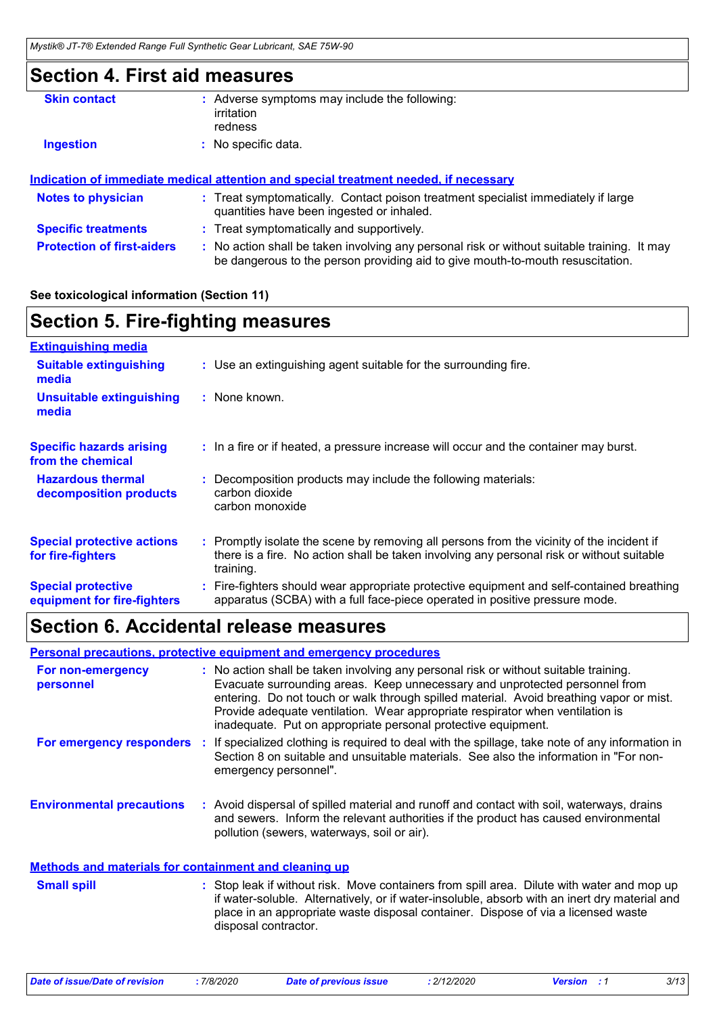### **Section 4. First aid measures**

| <b>Skin contact</b> | : Adverse symptoms may include the following:<br>irritation |
|---------------------|-------------------------------------------------------------|
|                     | redness                                                     |
| <b>Ingestion</b>    | : No specific data.                                         |
|                     |                                                             |

#### **Indication of immediate medical attention and special treatment needed, if necessary**

| <b>Notes to physician</b>         | : Treat symptomatically. Contact poison treatment specialist immediately if large<br>quantities have been ingested or inhaled.                                              |
|-----------------------------------|-----------------------------------------------------------------------------------------------------------------------------------------------------------------------------|
| <b>Specific treatments</b>        | : Treat symptomatically and supportively.                                                                                                                                   |
| <b>Protection of first-aiders</b> | No action shall be taken involving any personal risk or without suitable training. It may<br>be dangerous to the person providing aid to give mouth-to-mouth resuscitation. |

#### **See toxicological information (Section 11)**

### **Section 5. Fire-fighting measures**

| <b>Extinguishing media</b>                               |                                                                                                                                                                                                     |
|----------------------------------------------------------|-----------------------------------------------------------------------------------------------------------------------------------------------------------------------------------------------------|
| <b>Suitable extinguishing</b><br>media                   | : Use an extinguishing agent suitable for the surrounding fire.                                                                                                                                     |
| <b>Unsuitable extinguishing</b><br>media                 | : None known.                                                                                                                                                                                       |
| <b>Specific hazards arising</b><br>from the chemical     | : In a fire or if heated, a pressure increase will occur and the container may burst.                                                                                                               |
| <b>Hazardous thermal</b><br>decomposition products       | Decomposition products may include the following materials:<br>carbon dioxide<br>carbon monoxide                                                                                                    |
| <b>Special protective actions</b><br>for fire-fighters   | : Promptly isolate the scene by removing all persons from the vicinity of the incident if<br>there is a fire. No action shall be taken involving any personal risk or without suitable<br>training. |
| <b>Special protective</b><br>equipment for fire-fighters | Fire-fighters should wear appropriate protective equipment and self-contained breathing<br>apparatus (SCBA) with a full face-piece operated in positive pressure mode.                              |

### **Section 6. Accidental release measures**

#### **Personal precautions, protective equipment and emergency procedures**

| For non-emergency<br>personnel                        | : No action shall be taken involving any personal risk or without suitable training.<br>Evacuate surrounding areas. Keep unnecessary and unprotected personnel from<br>entering. Do not touch or walk through spilled material. Avoid breathing vapor or mist.<br>Provide adequate ventilation. Wear appropriate respirator when ventilation is<br>inadequate. Put on appropriate personal protective equipment. |  |
|-------------------------------------------------------|------------------------------------------------------------------------------------------------------------------------------------------------------------------------------------------------------------------------------------------------------------------------------------------------------------------------------------------------------------------------------------------------------------------|--|
| For emergency responders                              | If specialized clothing is required to deal with the spillage, take note of any information in<br>Section 8 on suitable and unsuitable materials. See also the information in "For non-<br>emergency personnel".                                                                                                                                                                                                 |  |
| <b>Environmental precautions</b>                      | : Avoid dispersal of spilled material and runoff and contact with soil, waterways, drains<br>and sewers. Inform the relevant authorities if the product has caused environmental<br>pollution (sewers, waterways, soil or air).                                                                                                                                                                                  |  |
| Methods and materials for containment and cleaning up |                                                                                                                                                                                                                                                                                                                                                                                                                  |  |
| $\sim$ $\blacksquare$                                 | $\mathcal{O}(1+1)$ . The contract of the contract of the contract of the contract of the contract of the contract of the contract of the contract of the contract of the contract of the contract of the contract of the contract o                                                                                                                                                                              |  |

#### Stop leak if without risk. Move containers from spill area. Dilute with water and mop up if water-soluble. Alternatively, or if water-insoluble, absorb with an inert dry material and place in an appropriate waste disposal container. Dispose of via a licensed waste disposal contractor. **Small spill :**

|  |  | Date of issue/Date of revision |  |
|--|--|--------------------------------|--|
|  |  |                                |  |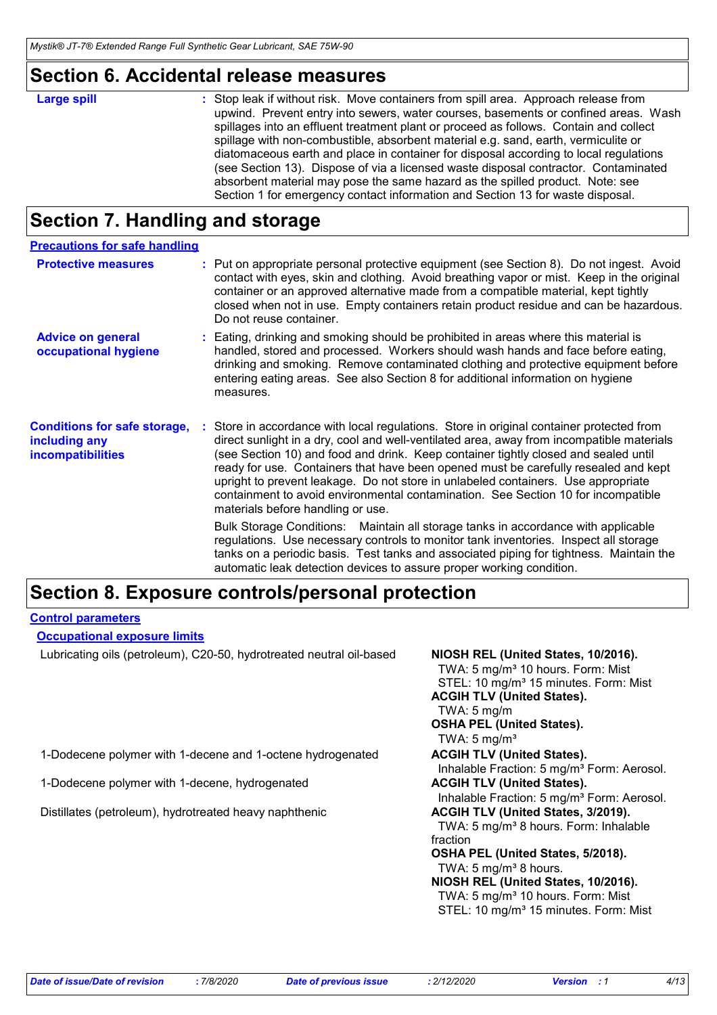### **Section 6. Accidental release measures**

| : Stop leak if without risk. Move containers from spill area. Approach release from<br><b>Large spill</b><br>upwind. Prevent entry into sewers, water courses, basements or confined areas. Wash<br>spillages into an effluent treatment plant or proceed as follows. Contain and collect<br>spillage with non-combustible, absorbent material e.g. sand, earth, vermiculite or<br>diatomaceous earth and place in container for disposal according to local regulations<br>(see Section 13). Dispose of via a licensed waste disposal contractor. Contaminated<br>absorbent material may pose the same hazard as the spilled product. Note: see |
|--------------------------------------------------------------------------------------------------------------------------------------------------------------------------------------------------------------------------------------------------------------------------------------------------------------------------------------------------------------------------------------------------------------------------------------------------------------------------------------------------------------------------------------------------------------------------------------------------------------------------------------------------|
| Section 1 for emergency contact information and Section 13 for waste disposal.                                                                                                                                                                                                                                                                                                                                                                                                                                                                                                                                                                   |

### **Section 7. Handling and storage**

| <b>Precautions for safe handling</b>                                             |                                                                                                                                                                                                                                                                                                                                                                                                                                                                                                                                                                                                                                                                                                                                                                 |
|----------------------------------------------------------------------------------|-----------------------------------------------------------------------------------------------------------------------------------------------------------------------------------------------------------------------------------------------------------------------------------------------------------------------------------------------------------------------------------------------------------------------------------------------------------------------------------------------------------------------------------------------------------------------------------------------------------------------------------------------------------------------------------------------------------------------------------------------------------------|
| <b>Protective measures</b>                                                       | : Put on appropriate personal protective equipment (see Section 8). Do not ingest. Avoid<br>contact with eyes, skin and clothing. Avoid breathing vapor or mist. Keep in the original<br>container or an approved alternative made from a compatible material, kept tightly<br>closed when not in use. Empty containers retain product residue and can be hazardous.<br>Do not reuse container.                                                                                                                                                                                                                                                                                                                                                                 |
| <b>Advice on general</b><br>occupational hygiene                                 | : Eating, drinking and smoking should be prohibited in areas where this material is<br>handled, stored and processed. Workers should wash hands and face before eating,<br>drinking and smoking. Remove contaminated clothing and protective equipment before<br>entering eating areas. See also Section 8 for additional information on hygiene<br>measures.                                                                                                                                                                                                                                                                                                                                                                                                   |
| <b>Conditions for safe storage,</b><br>including any<br><b>incompatibilities</b> | : Store in accordance with local regulations. Store in original container protected from<br>direct sunlight in a dry, cool and well-ventilated area, away from incompatible materials<br>(see Section 10) and food and drink. Keep container tightly closed and sealed until<br>ready for use. Containers that have been opened must be carefully resealed and kept<br>upright to prevent leakage. Do not store in unlabeled containers. Use appropriate<br>containment to avoid environmental contamination. See Section 10 for incompatible<br>materials before handling or use.<br>Bulk Storage Conditions: Maintain all storage tanks in accordance with applicable<br>regulations. Use necessary controls to monitor tank inventories. Inspect all storage |
|                                                                                  | tanks on a periodic basis. Test tanks and associated piping for tightness. Maintain the<br>automatic leak detection devices to assure proper working condition.                                                                                                                                                                                                                                                                                                                                                                                                                                                                                                                                                                                                 |

### **Section 8. Exposure controls/personal protection**

#### **Control parameters**

#### **Occupational exposure limits**

Lubricating oils (petroleum), C20-50, hydrotreated neutral oil-based **NIOSH REL (United States, 10/2016).**

TWA: 5 mg/m<sup>3</sup> 10 hours. Form: Mist STEL: 10 mg/m<sup>3</sup> 15 minutes. Form: Mist **ACGIH TLV (United States).** TWA: 5 mg/m **OSHA PEL (United States).** TWA:  $5 \text{ mg/m}^3$ Inhalable Fraction: 5 mg/m<sup>3</sup> Form: Aerosol. Inhalable Fraction: 5 mg/m<sup>3</sup> Form: Aerosol. TWA: 5 mg/m<sup>3</sup> 8 hours. Form: Inhalable fraction **OSHA PEL (United States, 5/2018).** TWA:  $5 \text{ mg/m}^3$  8 hours. **NIOSH REL (United States, 10/2016).** TWA: 5 mg/m<sup>3</sup> 10 hours. Form: Mist STEL: 10 mg/m<sup>3</sup> 15 minutes. Form: Mist

1-Dodecene polymer with 1-decene and 1-octene hydrogenated **ACGIH TLV (United States).**

1-Dodecene polymer with 1-decene, hydrogenated **ACGIH TLV (United States).** 

Distillates (petroleum), hydrotreated heavy naphthenic **ACGIH TLV (United States, 3/2019).**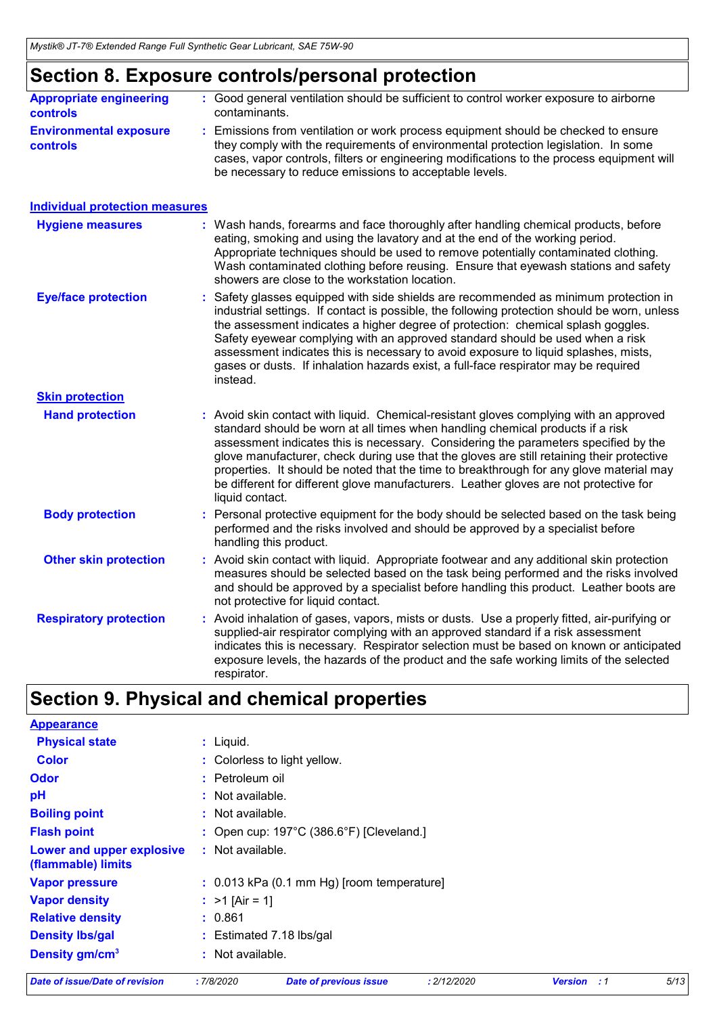### **Section 8. Exposure controls/personal protection**

| <b>Appropriate engineering</b>                   | : Good general ventilation should be sufficient to control worker exposure to airborne                                                                                                                                                                                                                                          |
|--------------------------------------------------|---------------------------------------------------------------------------------------------------------------------------------------------------------------------------------------------------------------------------------------------------------------------------------------------------------------------------------|
| <b>controls</b>                                  | contaminants.                                                                                                                                                                                                                                                                                                                   |
| <b>Environmental exposure</b><br><b>controls</b> | : Emissions from ventilation or work process equipment should be checked to ensure<br>they comply with the requirements of environmental protection legislation. In some<br>cases, vapor controls, filters or engineering modifications to the process equipment will<br>be necessary to reduce emissions to acceptable levels. |

| <b>Individual protection measures</b>                                                                                                                                                                                                                                                                                                                                                                                                                                                                                                                               |
|---------------------------------------------------------------------------------------------------------------------------------------------------------------------------------------------------------------------------------------------------------------------------------------------------------------------------------------------------------------------------------------------------------------------------------------------------------------------------------------------------------------------------------------------------------------------|
| : Wash hands, forearms and face thoroughly after handling chemical products, before<br>eating, smoking and using the lavatory and at the end of the working period.<br>Appropriate techniques should be used to remove potentially contaminated clothing.<br>Wash contaminated clothing before reusing. Ensure that eyewash stations and safety<br>showers are close to the workstation location.                                                                                                                                                                   |
| : Safety glasses equipped with side shields are recommended as minimum protection in<br>industrial settings. If contact is possible, the following protection should be worn, unless<br>the assessment indicates a higher degree of protection: chemical splash goggles.<br>Safety eyewear complying with an approved standard should be used when a risk<br>assessment indicates this is necessary to avoid exposure to liquid splashes, mists,<br>gases or dusts. If inhalation hazards exist, a full-face respirator may be required<br>instead.                 |
|                                                                                                                                                                                                                                                                                                                                                                                                                                                                                                                                                                     |
| : Avoid skin contact with liquid. Chemical-resistant gloves complying with an approved<br>standard should be worn at all times when handling chemical products if a risk<br>assessment indicates this is necessary. Considering the parameters specified by the<br>glove manufacturer, check during use that the gloves are still retaining their protective<br>properties. It should be noted that the time to breakthrough for any glove material may<br>be different for different glove manufacturers. Leather gloves are not protective for<br>liquid contact. |
| : Personal protective equipment for the body should be selected based on the task being<br>performed and the risks involved and should be approved by a specialist before<br>handling this product.                                                                                                                                                                                                                                                                                                                                                                 |
| : Avoid skin contact with liquid. Appropriate footwear and any additional skin protection<br>measures should be selected based on the task being performed and the risks involved<br>and should be approved by a specialist before handling this product. Leather boots are<br>not protective for liquid contact.                                                                                                                                                                                                                                                   |
| : Avoid inhalation of gases, vapors, mists or dusts. Use a properly fitted, air-purifying or<br>supplied-air respirator complying with an approved standard if a risk assessment<br>indicates this is necessary. Respirator selection must be based on known or anticipated<br>exposure levels, the hazards of the product and the safe working limits of the selected<br>respirator.                                                                                                                                                                               |
|                                                                                                                                                                                                                                                                                                                                                                                                                                                                                                                                                                     |

## **Section 9. Physical and chemical properties**

| <b>Date of issue/Date of revision</b>           | :7/8/2020          | <b>Date of previous issue</b>                      | : 2/12/2020 | <b>Version</b><br>:1 | 5/13 |
|-------------------------------------------------|--------------------|----------------------------------------------------|-------------|----------------------|------|
| Density gm/cm <sup>3</sup>                      | : Not available.   |                                                    |             |                      |      |
| <b>Density Ibs/gal</b>                          |                    | : Estimated 7.18 lbs/gal                           |             |                      |      |
| <b>Relative density</b>                         | : 0.861            |                                                    |             |                      |      |
| <b>Vapor density</b>                            | : $>1$ [Air = 1]   |                                                    |             |                      |      |
| <b>Vapor pressure</b>                           |                    | : 0.013 kPa (0.1 mm Hg) [room temperature]         |             |                      |      |
| Lower and upper explosive<br>(flammable) limits | : Not available.   |                                                    |             |                      |      |
| <b>Flash point</b>                              |                    | : Open cup: $197^{\circ}$ C (386.6°F) [Cleveland.] |             |                      |      |
| <b>Boiling point</b>                            | : Not available.   |                                                    |             |                      |      |
| pH                                              | $:$ Not available. |                                                    |             |                      |      |
| <b>Odor</b>                                     | : Petroleum oil    |                                                    |             |                      |      |
| <b>Color</b>                                    |                    | : Colorless to light yellow.                       |             |                      |      |
| <b>Physical state</b>                           | $:$ Liquid.        |                                                    |             |                      |      |
| <b>Appearance</b>                               |                    |                                                    |             |                      |      |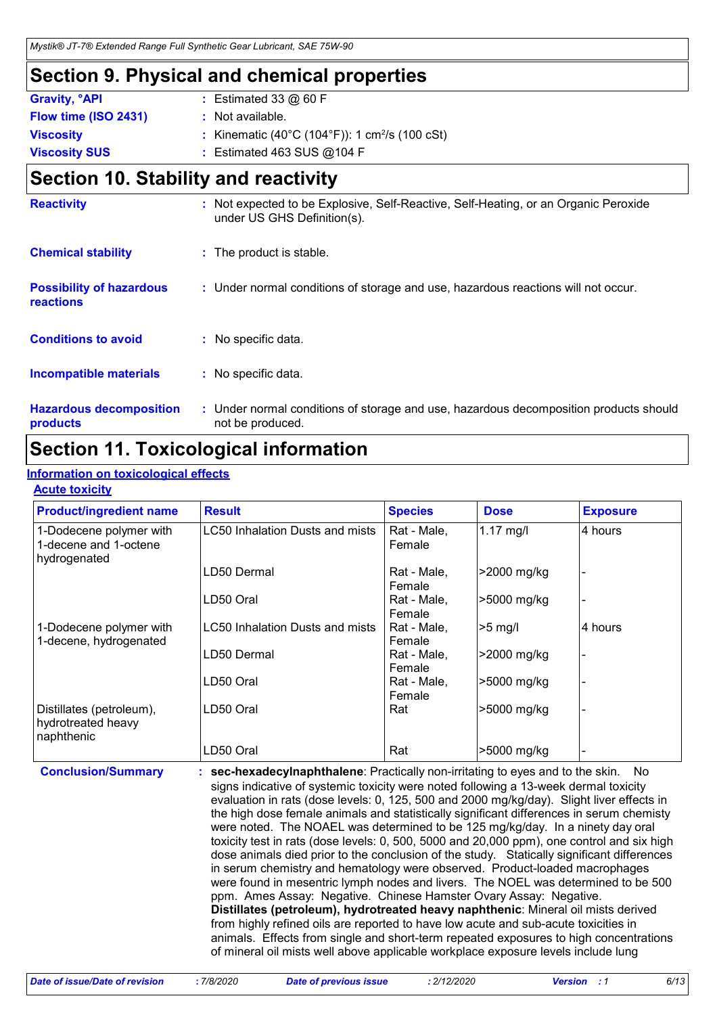### **Section 9. Physical and chemical properties**

| : Estimated 33 $@$ 60 F                                    |
|------------------------------------------------------------|
| : Not available.                                           |
| : Kinematic (40°C (104°F)): 1 cm <sup>2</sup> /s (100 cSt) |
| : Estimated 463 SUS $@104$ F                               |
|                                                            |

### **Section 10. Stability and reactivity**

| <b>Reactivity</b>                            | : Not expected to be Explosive, Self-Reactive, Self-Heating, or an Organic Peroxide<br>under US GHS Definition(s). |
|----------------------------------------------|--------------------------------------------------------------------------------------------------------------------|
| <b>Chemical stability</b>                    | : The product is stable.                                                                                           |
| <b>Possibility of hazardous</b><br>reactions | : Under normal conditions of storage and use, hazardous reactions will not occur.                                  |
| <b>Conditions to avoid</b>                   | : No specific data.                                                                                                |
| <b>Incompatible materials</b>                | : No specific data.                                                                                                |
| <b>Hazardous decomposition</b><br>products   | : Under normal conditions of storage and use, hazardous decomposition products should<br>not be produced.          |

### **Section 11. Toxicological information**

### **Information on toxicological effects**

#### **Acute toxicity**

| <b>Product/ingredient name</b>                                   | <b>Result</b>                   | <b>Species</b>        | <b>Dose</b> | <b>Exposure</b> |
|------------------------------------------------------------------|---------------------------------|-----------------------|-------------|-----------------|
| 1-Dodecene polymer with<br>1-decene and 1-octene<br>hydrogenated | LC50 Inhalation Dusts and mists | Rat - Male,<br>Female | $1.17$ mg/l | 4 hours         |
|                                                                  | LD50 Dermal                     | Rat - Male,<br>Female | >2000 mg/kg |                 |
|                                                                  | LD50 Oral                       | Rat - Male,<br>Female | >5000 mg/kg |                 |
| 1-Dodecene polymer with<br>1-decene, hydrogenated                | LC50 Inhalation Dusts and mists | Rat - Male,<br>Female | $>5$ mg/    | 4 hours         |
|                                                                  | LD50 Dermal                     | Rat - Male,<br>Female | >2000 mg/kg |                 |
|                                                                  | LD50 Oral                       | Rat - Male,<br>Female | -5000 mg/kg |                 |
| Distillates (petroleum),<br>hydrotreated heavy<br>naphthenic     | LD50 Oral                       | Rat                   | >5000 mg/kg |                 |
|                                                                  | LD50 Oral                       | Rat                   | >5000 mg/kg |                 |

**Conclusion/Summary : sec-hexadecylnaphthalene**: Practically non-irritating to eyes and to the skin. No signs indicative of systemic toxicity were noted following a 13-week dermal toxicity evaluation in rats (dose levels: 0, 125, 500 and 2000 mg/kg/day). Slight liver effects in the high dose female animals and statistically significant differences in serum chemisty were noted. The NOAEL was determined to be 125 mg/kg/day. In a ninety day oral toxicity test in rats (dose levels: 0, 500, 5000 and 20,000 ppm), one control and six high dose animals died prior to the conclusion of the study. Statically significant differences in serum chemistry and hematology were observed. Product-loaded macrophages were found in mesentric lymph nodes and livers. The NOEL was determined to be 500 ppm. Ames Assay: Negative. Chinese Hamster Ovary Assay: Negative. **Distillates (petroleum), hydrotreated heavy naphthenic**: Mineral oil mists derived from highly refined oils are reported to have low acute and sub-acute toxicities in animals. Effects from single and short-term repeated exposures to high concentrations of mineral oil mists well above applicable workplace exposure levels include lung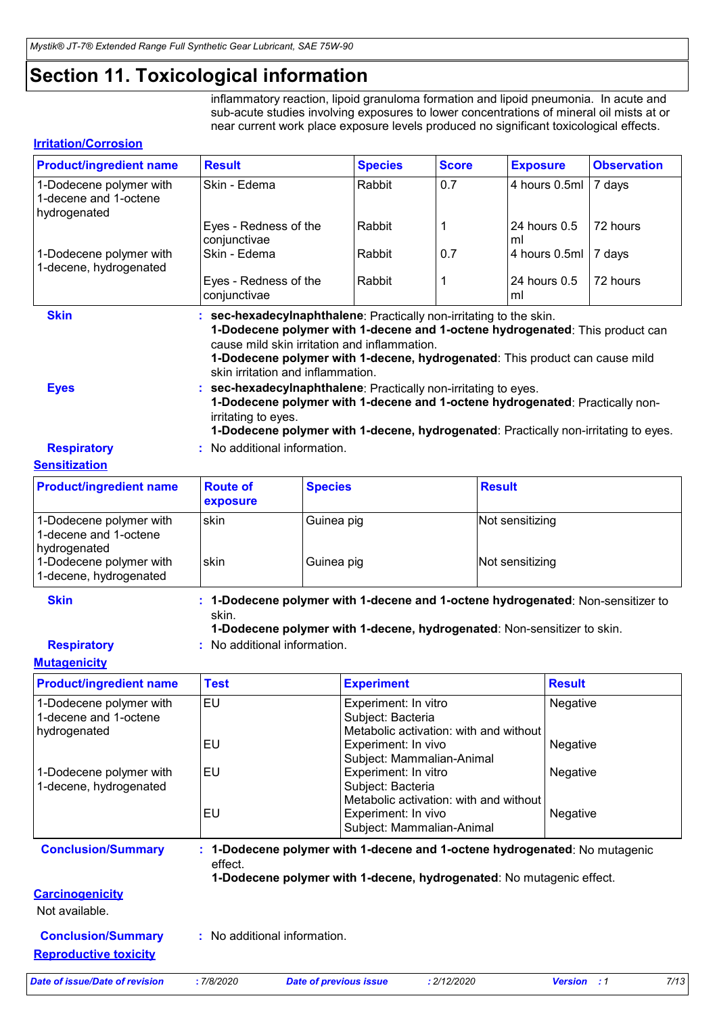### **Section 11. Toxicological information**

inflammatory reaction, lipoid granuloma formation and lipoid pneumonia. In acute and sub-acute studies involving exposures to lower concentrations of mineral oil mists at or near current work place exposure levels produced no significant toxicological effects.

#### **Irritation/Corrosion**

| <b>Product/ingredient name</b>                                   | <b>Result</b>                                                                                                                                                                                                                                      |                | <b>Species</b> | <b>Score</b> | <b>Exposure</b>                                                                                                                                                                                                                                                                                                                    | <b>Observation</b> |
|------------------------------------------------------------------|----------------------------------------------------------------------------------------------------------------------------------------------------------------------------------------------------------------------------------------------------|----------------|----------------|--------------|------------------------------------------------------------------------------------------------------------------------------------------------------------------------------------------------------------------------------------------------------------------------------------------------------------------------------------|--------------------|
| 1-Dodecene polymer with<br>1-decene and 1-octene<br>hydrogenated | Skin - Edema                                                                                                                                                                                                                                       |                | Rabbit         | 0.7          | 4 hours 0.5ml   7 days                                                                                                                                                                                                                                                                                                             |                    |
|                                                                  | Eyes - Redness of the<br>conjunctivae                                                                                                                                                                                                              |                | Rabbit         |              | 24 hours 0.5<br>ml                                                                                                                                                                                                                                                                                                                 | 72 hours           |
| 1-Dodecene polymer with<br>1-decene, hydrogenated                | Skin - Edema                                                                                                                                                                                                                                       |                | Rabbit         | 0.7          | 4 hours 0.5ml   7 days                                                                                                                                                                                                                                                                                                             |                    |
|                                                                  | Eyes - Redness of the<br>conjunctivae                                                                                                                                                                                                              |                | Rabbit         | 1            | 24 hours $0.5$<br>ml                                                                                                                                                                                                                                                                                                               | 72 hours           |
| <b>Skin</b><br><b>Eyes</b>                                       | : sec-hexadecylnaphthalene: Practically non-irritating to the skin.<br>cause mild skin irritation and inflammation.<br>skin irritation and inflammation.<br>: sec-hexadecylnaphthalene: Practically non-irritating to eyes.<br>irritating to eyes. |                |                |              | 1-Dodecene polymer with 1-decene and 1-octene hydrogenated: This product can<br>1-Dodecene polymer with 1-decene, hydrogenated: This product can cause mild<br>1-Dodecene polymer with 1-decene and 1-octene hydrogenated: Practically non-<br>1-Dodecene polymer with 1-decene, hydrogenated: Practically non-irritating to eyes. |                    |
| <b>Respiratory</b>                                               | : No additional information.                                                                                                                                                                                                                       |                |                |              |                                                                                                                                                                                                                                                                                                                                    |                    |
| <b>Sensitization</b>                                             |                                                                                                                                                                                                                                                    |                |                |              |                                                                                                                                                                                                                                                                                                                                    |                    |
| <b>Product/ingredient name</b>                                   | <b>Route of</b><br>exposure                                                                                                                                                                                                                        | <b>Species</b> |                |              | <b>Result</b>                                                                                                                                                                                                                                                                                                                      |                    |

| <u>i i oducenigi culcile name</u>                                | noult of<br><b>exposure</b> | <b>UNGUIGO</b> | Result          |
|------------------------------------------------------------------|-----------------------------|----------------|-----------------|
| 1-Dodecene polymer with<br>1-decene and 1-octene<br>hydrogenated | skin                        | Guinea pig     | Not sensitizing |
| 1-Dodecene polymer with<br>1-decene, hydrogenated                | skin                        | Guinea pig     | Not sensitizing |

**Skin**

**: 1-Dodecene polymer with 1-decene and 1-octene hydrogenated**: Non-sensitizer to skin.

**1-Dodecene polymer with 1-decene, hydrogenated**: Non-sensitizer to skin.

- **Respiratory**
- **:** No additional information.

#### **Mutagenicity**

| <b>Product/ingredient name</b>                                   | <b>Test</b> | <b>Experiment</b>                                                                                                                                |                                        | <b>Result</b>      |      |
|------------------------------------------------------------------|-------------|--------------------------------------------------------------------------------------------------------------------------------------------------|----------------------------------------|--------------------|------|
| 1-Dodecene polymer with<br>1-decene and 1-octene<br>hydrogenated | <b>EU</b>   | Experiment: In vitro<br>Subject: Bacteria                                                                                                        | Metabolic activation: with and without | <b>Negative</b>    |      |
|                                                                  | EU          | Experiment: In vivo                                                                                                                              | Subject: Mammalian-Animal              | Negative           |      |
| 1-Dodecene polymer with<br>1-decene, hydrogenated                | EU          | Experiment: In vitro<br>Subject: Bacteria                                                                                                        | Metabolic activation: with and without | <b>Negative</b>    |      |
|                                                                  | EU          | Experiment: In vivo                                                                                                                              | Subject: Mammalian-Animal              | <b>Negative</b>    |      |
| <b>Conclusion/Summary</b>                                        | effect.     | 1-Dodecene polymer with 1-decene and 1-octene hydrogenated: No mutagenic<br>1-Dodecene polymer with 1-decene, hydrogenated: No mutagenic effect. |                                        |                    |      |
| <b>Carcinogenicity</b>                                           |             |                                                                                                                                                  |                                        |                    |      |
| Not available.                                                   |             |                                                                                                                                                  |                                        |                    |      |
| <b>Conclusion/Summary</b>                                        |             | : No additional information.                                                                                                                     |                                        |                    |      |
| <b>Reproductive toxicity</b>                                     |             |                                                                                                                                                  |                                        |                    |      |
| Date of issue/Date of revision                                   | :7/8/2020   | <b>Date of previous issue</b>                                                                                                                    | : 2/12/2020                            | <b>Version</b> : 1 | 7/13 |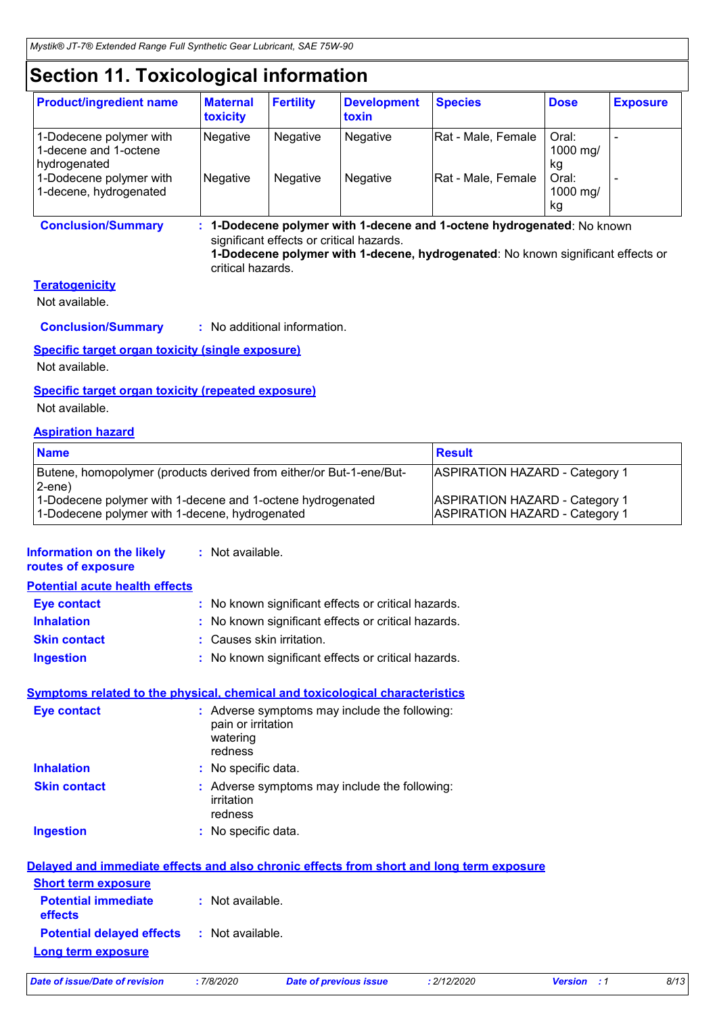### **Section 11. Toxicological information**

| <b>Product/ingredient name</b>                                   | <b>Maternal</b><br>toxicity | <b>Fertility</b> | <b>Development</b><br>toxin | <b>Species</b>     | <b>Dose</b>             | <b>Exposure</b> |
|------------------------------------------------------------------|-----------------------------|------------------|-----------------------------|--------------------|-------------------------|-----------------|
| 1-Dodecene polymer with<br>1-decene and 1-octene<br>hydrogenated | Negative                    | <b>Negative</b>  | Negative                    | Rat - Male, Female | Oral:<br>1000 mg/<br>kg |                 |
| 1-Dodecene polymer with<br>1-decene, hydrogenated                | Negative                    | <b>Negative</b>  | <b>Negative</b>             | Rat - Male, Female | Oral:<br>1000 mg/<br>kg |                 |

significant effects or critical hazards. **1-Dodecene polymer with 1-decene, hydrogenated**: No known significant effects or critical hazards.

### **Teratogenicity**

Not available.

**Conclusion/Summary :** No additional information.

#### **Specific target organ toxicity (single exposure)**

Not available.

#### **Specific target organ toxicity (repeated exposure)**

Not available.

#### **Aspiration hazard**

| <b>Name</b>                                                                                                  | <b>Result</b>                                                                  |
|--------------------------------------------------------------------------------------------------------------|--------------------------------------------------------------------------------|
| Butene, homopolymer (products derived from either/or But-1-ene/But-<br>$2$ -ene $)$                          | <b>ASPIRATION HAZARD - Category 1</b>                                          |
| 1-Dodecene polymer with 1-decene and 1-octene hydrogenated<br>1-Dodecene polymer with 1-decene, hydrogenated | <b>ASPIRATION HAZARD - Category 1</b><br><b>ASPIRATION HAZARD - Category 1</b> |

#### **Information on the likely :** Not available.

| routes of exposure                    |                                                     |
|---------------------------------------|-----------------------------------------------------|
| <b>Potential acute health effects</b> |                                                     |
| <b>Eye contact</b>                    | : No known significant effects or critical hazards. |
| <b>Inhalation</b>                     | : No known significant effects or critical hazards. |
| <b>Skin contact</b>                   | : Causes skin irritation.                           |
| <b>Ingestion</b>                      | : No known significant effects or critical hazards. |

#### **Symptoms related to the physical, chemical and toxicological characteristics**

| <b>Eye contact</b>  | : Adverse symptoms may include the following:<br>pain or irritation<br>watering<br>redness |
|---------------------|--------------------------------------------------------------------------------------------|
| <b>Inhalation</b>   | : No specific data.                                                                        |
| <b>Skin contact</b> | : Adverse symptoms may include the following:<br>irritation<br>redness                     |
| <b>Ingestion</b>    | : No specific data.                                                                        |

|                                                                                | Delayed and immediate effects and also chronic effects from short and long term exposure |
|--------------------------------------------------------------------------------|------------------------------------------------------------------------------------------|
| <b>Short term exposure</b>                                                     |                                                                                          |
| <b>Potential immediate</b><br><b>effects</b>                                   | : Not available.                                                                         |
| <b>Potential delayed effects : Not available.</b><br><b>Long term exposure</b> |                                                                                          |

|  | Date of issue/Date of revision |  |
|--|--------------------------------|--|
|  |                                |  |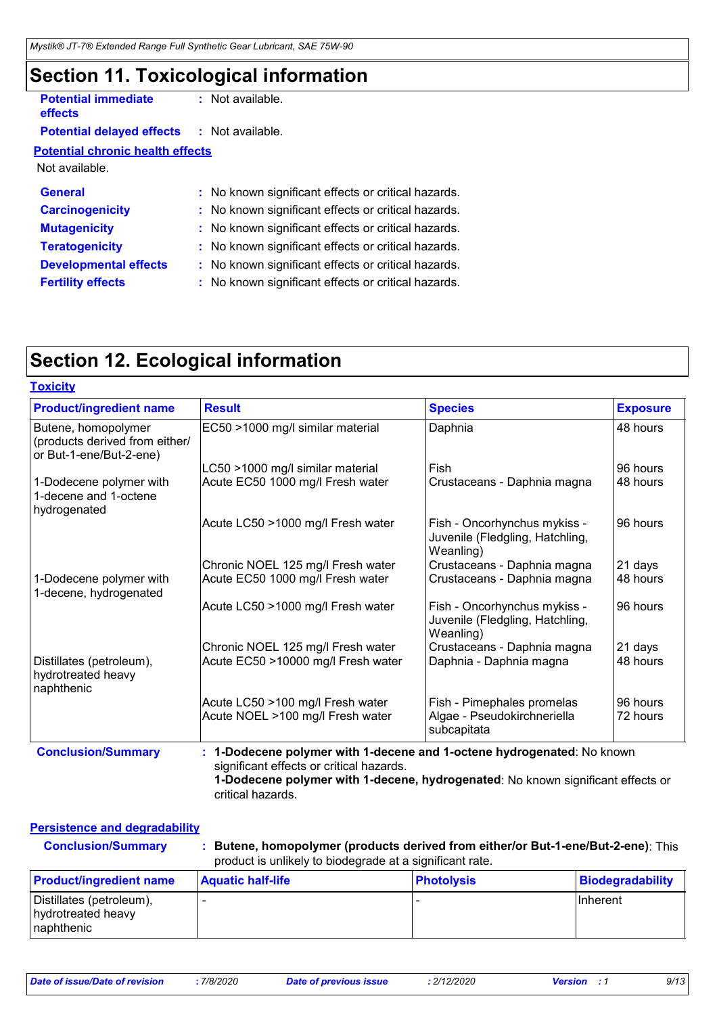### **Section 11. Toxicological information**

| <b>Potential immediate</b><br>effects   | : Not available.                                    |
|-----------------------------------------|-----------------------------------------------------|
| <b>Potential delayed effects</b>        | $:$ Not available.                                  |
| <b>Potential chronic health effects</b> |                                                     |
| Not available.                          |                                                     |
| <b>General</b>                          | : No known significant effects or critical hazards. |
| <b>Carcinogenicity</b>                  | : No known significant effects or critical hazards. |
| <b>Mutagenicity</b>                     | : No known significant effects or critical hazards. |
| <b>Teratogenicity</b>                   | : No known significant effects or critical hazards. |
| <b>Developmental effects</b>            | : No known significant effects or critical hazards. |
| <b>Fertility effects</b>                | : No known significant effects or critical hazards. |
|                                         |                                                     |

## **Section 12. Ecological information**

| <b>Product/ingredient name</b>                                                   | <b>Result</b>                                                        | <b>Species</b>                                                               | <b>Exposure</b>      |
|----------------------------------------------------------------------------------|----------------------------------------------------------------------|------------------------------------------------------------------------------|----------------------|
| Butene, homopolymer<br>(products derived from either/<br>or But-1-ene/But-2-ene) | EC50 >1000 mg/l similar material                                     | Daphnia                                                                      | 48 hours             |
|                                                                                  | LC50 >1000 mg/l similar material                                     | Fish                                                                         | 96 hours             |
| 1-Dodecene polymer with<br>1-decene and 1-octene<br>hydrogenated                 | Acute EC50 1000 mg/l Fresh water                                     | Crustaceans - Daphnia magna                                                  | 48 hours             |
|                                                                                  | Acute LC50 >1000 mg/l Fresh water                                    | Fish - Oncorhynchus mykiss -<br>Juvenile (Fledgling, Hatchling,<br>Weanling) | 96 hours             |
|                                                                                  | Chronic NOEL 125 mg/l Fresh water                                    | Crustaceans - Daphnia magna                                                  | 21 days              |
| 1-Dodecene polymer with<br>1-decene, hydrogenated                                | Acute EC50 1000 mg/l Fresh water                                     | Crustaceans - Daphnia magna                                                  | 48 hours             |
|                                                                                  | Acute LC50 >1000 mg/l Fresh water                                    | Fish - Oncorhynchus mykiss -<br>Juvenile (Fledgling, Hatchling,<br>Weanling) | 96 hours             |
|                                                                                  | Chronic NOEL 125 mg/l Fresh water                                    | Crustaceans - Daphnia magna                                                  | 21 days              |
| Distillates (petroleum),<br>hydrotreated heavy<br>naphthenic                     | Acute EC50 >10000 mg/l Fresh water                                   | Daphnia - Daphnia magna                                                      | 48 hours             |
|                                                                                  | Acute LC50 >100 mg/l Fresh water<br>Acute NOEL >100 mg/l Fresh water | Fish - Pimephales promelas<br>Algae - Pseudokirchneriella<br>subcapitata     | 96 hours<br>72 hours |

#### **Persistence and degradability**

| Butene, homopolymer (products derived from either/or But-1-ene/But-2-ene): This<br><b>Conclusion/Summary</b><br>product is unlikely to biodegrade at a significant rate. |                          |                   |                  |
|--------------------------------------------------------------------------------------------------------------------------------------------------------------------------|--------------------------|-------------------|------------------|
| <b>Product/ingredient name</b>                                                                                                                                           | <b>Aquatic half-life</b> | <b>Photolysis</b> | Biodegradability |
| Distillates (petroleum),<br>hydrotreated heavy                                                                                                                           |                          |                   | <b>Inherent</b>  |

naphthenic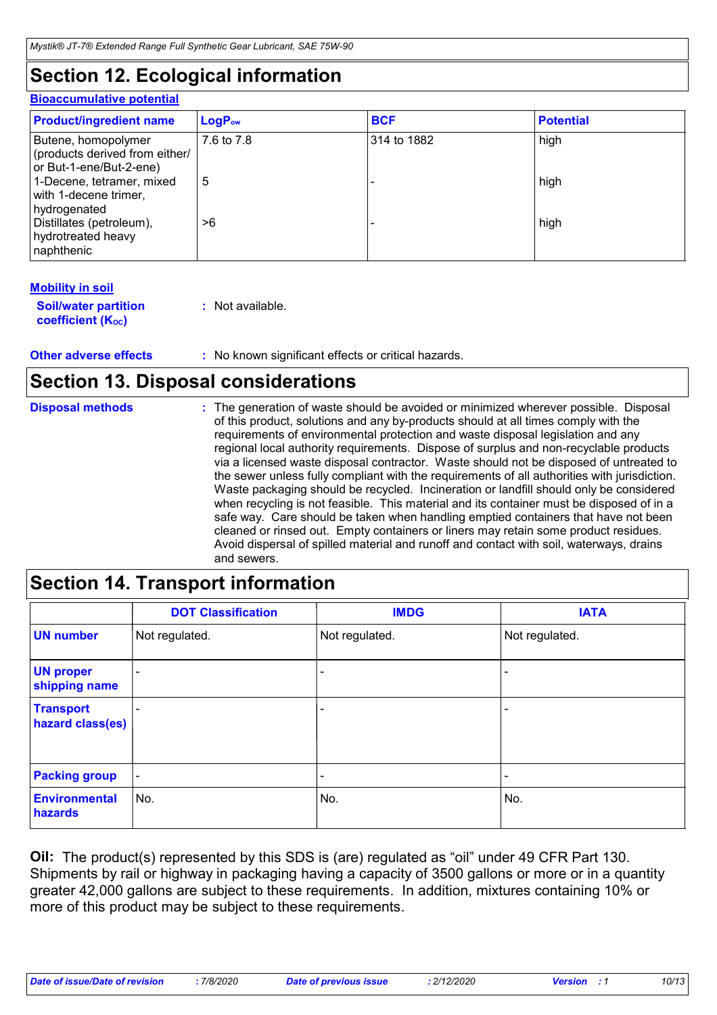### **Section 12. Ecological information**

#### **Bioaccumulative potential**

| <b>Product/ingredient name</b>                                                   | $LogP_{ow}$ | <b>BCF</b>  | <b>Potential</b> |
|----------------------------------------------------------------------------------|-------------|-------------|------------------|
| Butene, homopolymer<br>(products derived from either/<br>or But-1-ene/But-2-ene) | 7.6 to 7.8  | 314 to 1882 | high             |
| 1-Decene, tetramer, mixed<br>with 1-decene trimer,<br>hydrogenated               | 5           |             | high             |
| Distillates (petroleum),<br>hydrotreated heavy<br>naphthenic                     | >6          |             | high             |

#### **Mobility in soil**

| <b>Soil/water partition</b>    | : Not available. |
|--------------------------------|------------------|
| coefficient (K <sub>oc</sub> ) |                  |

#### **Other adverse effects** : No known significant effects or critical hazards.

### **Section 13. Disposal considerations**

| <b>Disposal methods</b> | : The generation of waste should be avoided or minimized wherever possible. Disposal<br>of this product, solutions and any by-products should at all times comply with the<br>requirements of environmental protection and waste disposal legislation and any<br>regional local authority requirements. Dispose of surplus and non-recyclable products<br>via a licensed waste disposal contractor. Waste should not be disposed of untreated to<br>the sewer unless fully compliant with the requirements of all authorities with jurisdiction.<br>Waste packaging should be recycled. Incineration or landfill should only be considered<br>when recycling is not feasible. This material and its container must be disposed of in a<br>safe way. Care should be taken when handling emptied containers that have not been<br>cleaned or rinsed out. Empty containers or liners may retain some product residues.<br>Avoid dispersal of spilled material and runoff and contact with soil, waterways, drains<br>and sewers. |
|-------------------------|-------------------------------------------------------------------------------------------------------------------------------------------------------------------------------------------------------------------------------------------------------------------------------------------------------------------------------------------------------------------------------------------------------------------------------------------------------------------------------------------------------------------------------------------------------------------------------------------------------------------------------------------------------------------------------------------------------------------------------------------------------------------------------------------------------------------------------------------------------------------------------------------------------------------------------------------------------------------------------------------------------------------------------|
|-------------------------|-------------------------------------------------------------------------------------------------------------------------------------------------------------------------------------------------------------------------------------------------------------------------------------------------------------------------------------------------------------------------------------------------------------------------------------------------------------------------------------------------------------------------------------------------------------------------------------------------------------------------------------------------------------------------------------------------------------------------------------------------------------------------------------------------------------------------------------------------------------------------------------------------------------------------------------------------------------------------------------------------------------------------------|

### **Section 14. Transport information**

|                                      | <b>DOT Classification</b> | <b>IMDG</b>              | <b>IATA</b>     |
|--------------------------------------|---------------------------|--------------------------|-----------------|
| <b>UN number</b>                     | Not regulated.            | Not regulated.           | Not regulated.  |
| <b>UN proper</b><br>shipping name    | ۰                         | -                        |                 |
| <b>Transport</b><br>hazard class(es) |                           | $\overline{\phantom{0}}$ |                 |
| <b>Packing group</b>                 | $\overline{\phantom{a}}$  | $\overline{\phantom{a}}$ | $\qquad \qquad$ |
| <b>Environmental</b><br>hazards      | No.                       | No.                      | No.             |

**Oil:** The product(s) represented by this SDS is (are) regulated as "oil" under 49 CFR Part 130. Shipments by rail or highway in packaging having a capacity of 3500 gallons or more or in a quantity greater 42,000 gallons are subject to these requirements. In addition, mixtures containing 10% or more of this product may be subject to these requirements.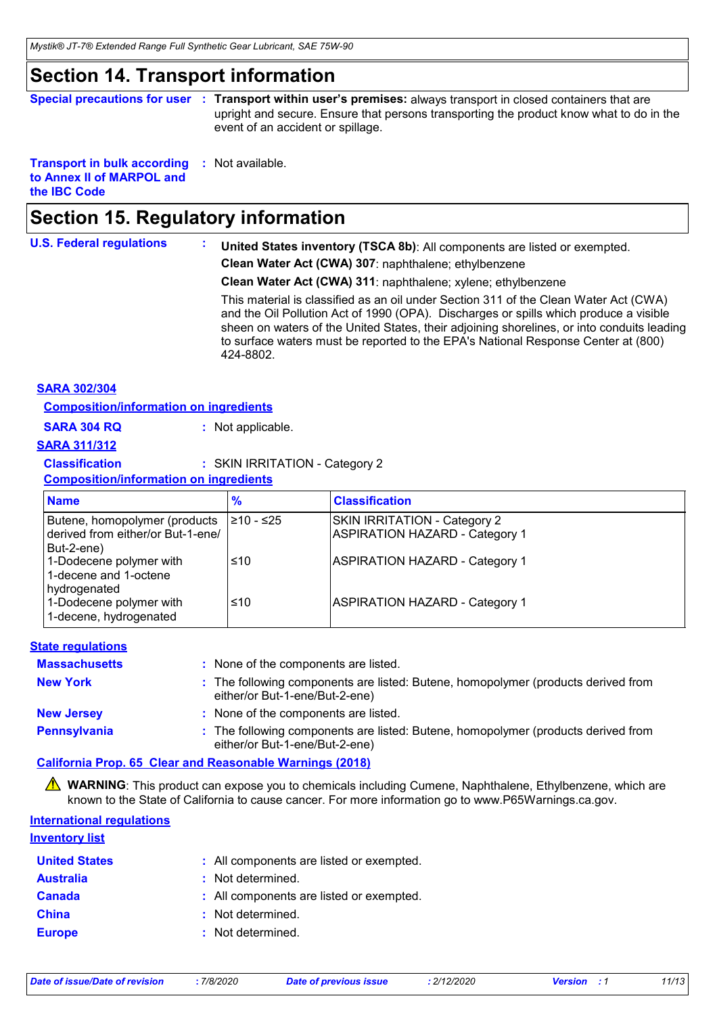### **Section 14. Transport information**

**Special precautions for user** : Transport within user's premises: always transport in closed containers that are upright and secure. Ensure that persons transporting the product know what to do in the event of an accident or spillage.

**Transport in bulk according :** Not available. **to Annex II of MARPOL and the IBC Code**

### **Section 15. Regulatory information**

**U.S. Federal regulations : United States inventory (TSCA 8b)**: All components are listed or exempted. **Clean Water Act (CWA) 307**: naphthalene; ethylbenzene

**Clean Water Act (CWA) 311**: naphthalene; xylene; ethylbenzene

This material is classified as an oil under Section 311 of the Clean Water Act (CWA) and the Oil Pollution Act of 1990 (OPA). Discharges or spills which produce a visible sheen on waters of the United States, their adjoining shorelines, or into conduits leading to surface waters must be reported to the EPA's National Response Center at (800) 424-8802.

#### **SARA 302/304**

**Composition/information on ingredients**

**SARA 304 RQ :** Not applicable.

#### **SARA 311/312**

**Classification :** SKIN IRRITATION - Category 2

**Composition/information on ingredients**

| <b>Name</b>                                                                      | $\frac{9}{6}$ | <b>Classification</b>                                                        |
|----------------------------------------------------------------------------------|---------------|------------------------------------------------------------------------------|
| Butene, homopolymer (products<br>derived from either/or But-1-ene/<br>But-2-ene) | I≥10 - ≤25    | <b>SKIN IRRITATION - Category 2</b><br><b>ASPIRATION HAZARD - Category 1</b> |
| 1-Dodecene polymer with<br>1-decene and 1-octene<br>hydrogenated                 | ≤10           | <b>ASPIRATION HAZARD - Category 1</b>                                        |
| 1-Dodecene polymer with<br>1-decene, hydrogenated                                | ≤10           | <b>ASPIRATION HAZARD - Category 1</b>                                        |

#### **State regulations**

| <b>Massachusetts</b> | : None of the components are listed.                                                                                |
|----------------------|---------------------------------------------------------------------------------------------------------------------|
| <b>New York</b>      | : The following components are listed: Butene, homopolymer (products derived from<br>either/or But-1-ene/But-2-ene) |
| <b>New Jersey</b>    | : None of the components are listed.                                                                                |
| Pennsylvania         | : The following components are listed: Butene, homopolymer (products derived from<br>either/or But-1-ene/But-2-ene) |

**California Prop. 65 Clear and Reasonable Warnings (2018)**

**A WARNING**: This product can expose you to chemicals including Cumene, Naphthalene, Ethylbenzene, which are known to the State of California to cause cancer. For more information go to www.P65Warnings.ca.gov.

#### **International regulations**

| <b>Inventory list</b> |                                          |
|-----------------------|------------------------------------------|
| <b>United States</b>  | : All components are listed or exempted. |
| <b>Australia</b>      | : Not determined.                        |
| <b>Canada</b>         | : All components are listed or exempted. |
| <b>China</b>          | : Not determined.                        |
| <b>Europe</b>         | : Not determined.                        |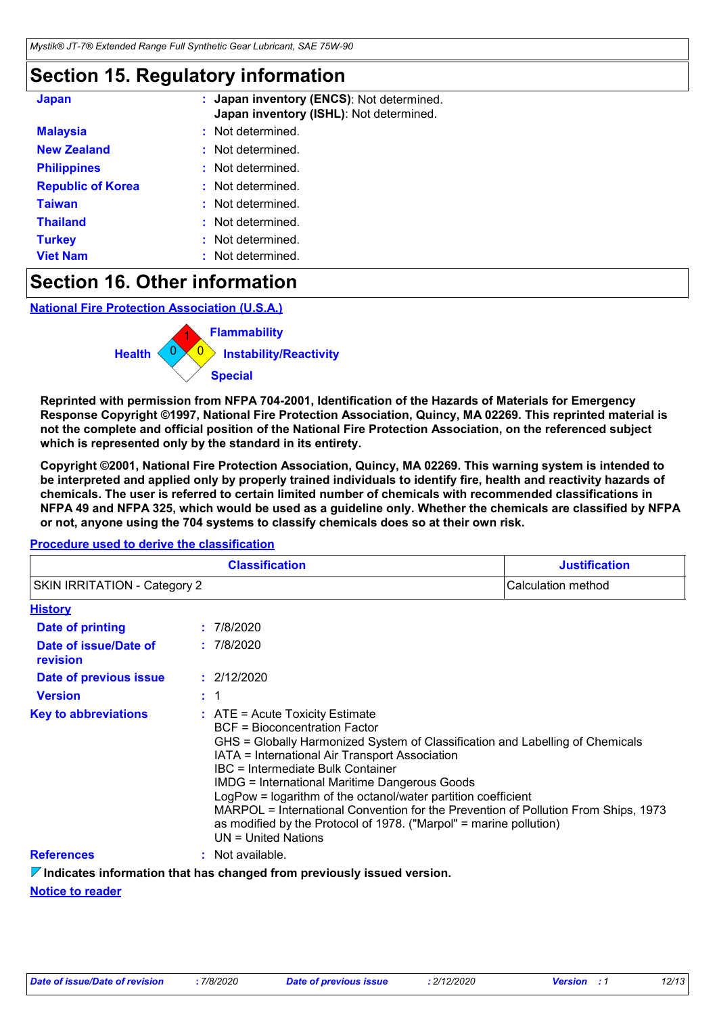### **Section 15. Regulatory information**

| <b>Japan</b>             | Japan inventory (ENCS): Not determined.<br>Japan inventory (ISHL): Not determined. |  |
|--------------------------|------------------------------------------------------------------------------------|--|
| <b>Malaysia</b>          | Not determined.                                                                    |  |
| <b>New Zealand</b>       | Not determined.<br>÷                                                               |  |
| <b>Philippines</b>       | Not determined.                                                                    |  |
| <b>Republic of Korea</b> | Not determined.<br>÷                                                               |  |
| <b>Taiwan</b>            | Not determined.                                                                    |  |
| <b>Thailand</b>          | Not determined.<br>÷                                                               |  |
| <b>Turkey</b>            | Not determined.<br>×                                                               |  |
| <b>Viet Nam</b>          | Not determined.<br>÷                                                               |  |

### **Section 16. Other information**

**National Fire Protection Association (U.S.A.)**



**Reprinted with permission from NFPA 704-2001, Identification of the Hazards of Materials for Emergency Response Copyright ©1997, National Fire Protection Association, Quincy, MA 02269. This reprinted material is not the complete and official position of the National Fire Protection Association, on the referenced subject which is represented only by the standard in its entirety.**

**Copyright ©2001, National Fire Protection Association, Quincy, MA 02269. This warning system is intended to be interpreted and applied only by properly trained individuals to identify fire, health and reactivity hazards of chemicals. The user is referred to certain limited number of chemicals with recommended classifications in NFPA 49 and NFPA 325, which would be used as a guideline only. Whether the chemicals are classified by NFPA or not, anyone using the 704 systems to classify chemicals does so at their own risk.**

#### **Procedure used to derive the classification**

| <b>Classification</b><br><b>SKIN IRRITATION - Category 2</b> |                                                                                                                                                                                                                                                                                                                                                                                                                                                                                                                                                      | <b>Justification</b> |
|--------------------------------------------------------------|------------------------------------------------------------------------------------------------------------------------------------------------------------------------------------------------------------------------------------------------------------------------------------------------------------------------------------------------------------------------------------------------------------------------------------------------------------------------------------------------------------------------------------------------------|----------------------|
|                                                              |                                                                                                                                                                                                                                                                                                                                                                                                                                                                                                                                                      | Calculation method   |
| <b>History</b>                                               |                                                                                                                                                                                                                                                                                                                                                                                                                                                                                                                                                      |                      |
| Date of printing                                             | : 7/8/2020                                                                                                                                                                                                                                                                                                                                                                                                                                                                                                                                           |                      |
| Date of issue/Date of<br>revision                            | : 7/8/2020                                                                                                                                                                                                                                                                                                                                                                                                                                                                                                                                           |                      |
| Date of previous issue                                       | : 2/12/2020                                                                                                                                                                                                                                                                                                                                                                                                                                                                                                                                          |                      |
| <b>Version</b>                                               | : 1                                                                                                                                                                                                                                                                                                                                                                                                                                                                                                                                                  |                      |
| <b>Key to abbreviations</b>                                  | : ATE = Acute Toxicity Estimate<br>BCF = Bioconcentration Factor<br>GHS = Globally Harmonized System of Classification and Labelling of Chemicals<br>IATA = International Air Transport Association<br>IBC = Intermediate Bulk Container<br><b>IMDG = International Maritime Dangerous Goods</b><br>LogPow = logarithm of the octanol/water partition coefficient<br>MARPOL = International Convention for the Prevention of Pollution From Ships, 1973<br>as modified by the Protocol of 1978. ("Marpol" = marine pollution)<br>UN = United Nations |                      |
| <b>References</b>                                            | : Not available.                                                                                                                                                                                                                                                                                                                                                                                                                                                                                                                                     |                      |

**Notice to reader Indicates information that has changed from previously issued version.**